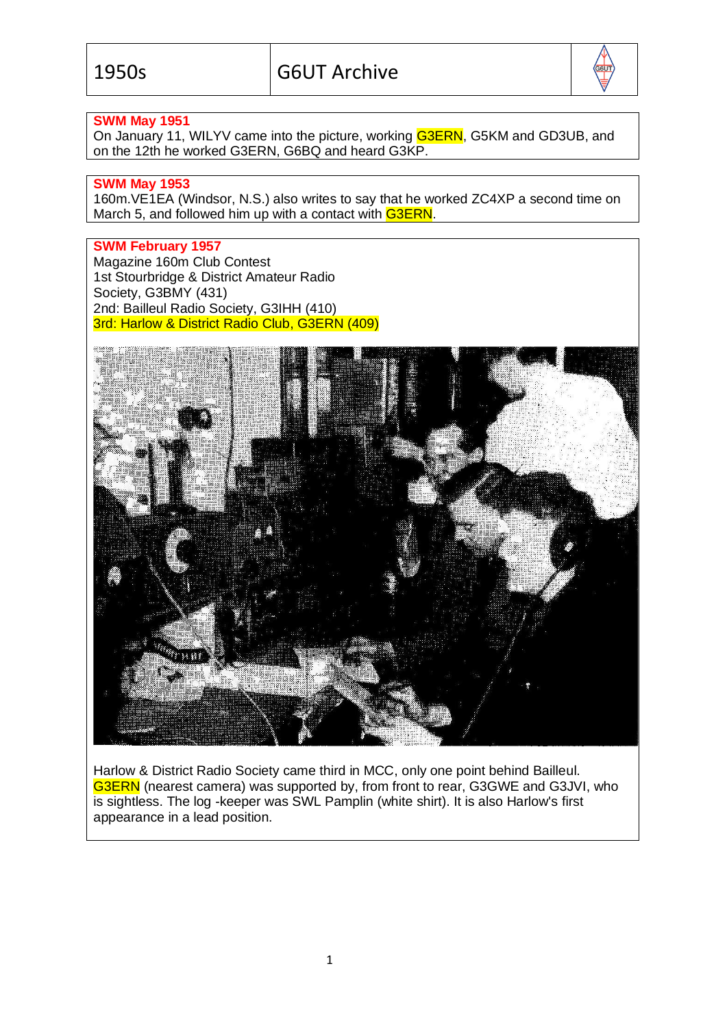

## **SWM May 1951**

On January 11, WILYV came into the picture, working G3ERN, G5KM and GD3UB, and on the 12th he worked G3ERN, G6BQ and heard G3KP.

### **SWM May 1953**

160m.VE1EA (Windsor, N.S.) also writes to say that he worked ZC4XP a second time on March 5, and followed him up with a contact with G3ERN.

# **SWM February 1957**

Magazine 160m Club Contest 1st Stourbridge & District Amateur Radio Society, G3BMY (431) 2nd: Bailleul Radio Society, G3IHH (410) 3rd: Harlow & District Radio Club, G3ERN (409)



Harlow & District Radio Society came third in MCC, only one point behind Bailleul. G3ERN (nearest camera) was supported by, from front to rear, G3GWE and G3JVI, who is sightless. The log -keeper was SWL Pamplin (white shirt). It is also Harlow's first appearance in a lead position.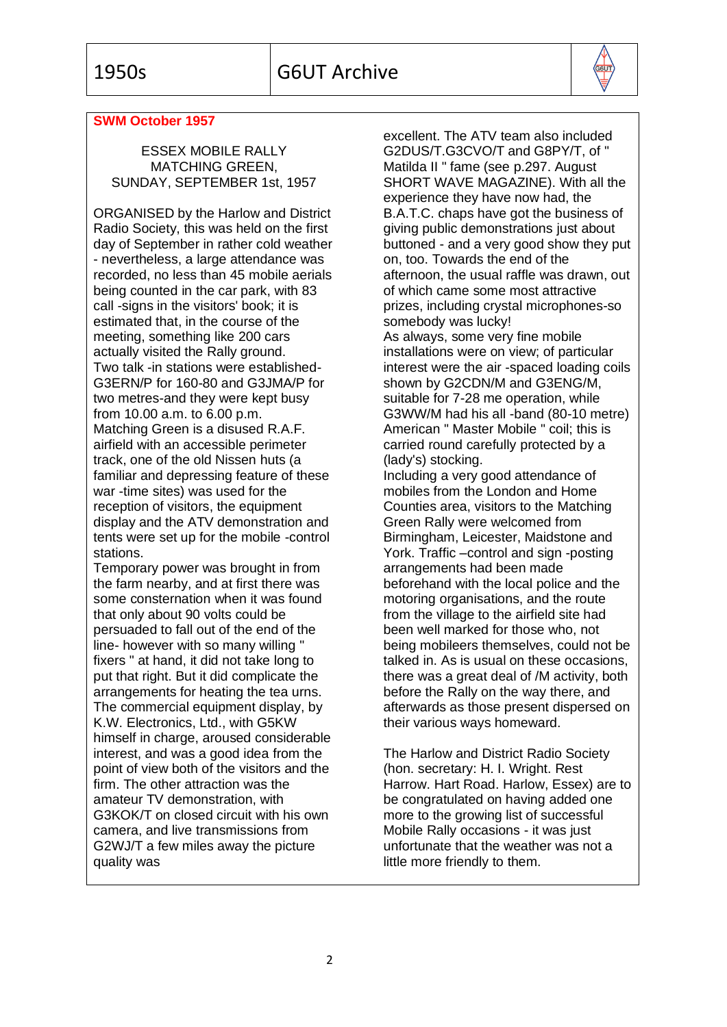

### **SWM October 1957**

ESSEX MOBILE RALLY MATCHING GREEN, SUNDAY, SEPTEMBER 1st, 1957

ORGANISED by the Harlow and District Radio Society, this was held on the first day of September in rather cold weather - nevertheless, a large attendance was recorded, no less than 45 mobile aerials being counted in the car park, with 83 call -signs in the visitors' book; it is estimated that, in the course of the meeting, something like 200 cars actually visited the Rally ground. Two talk -in stations were established-G3ERN/P for 160-80 and G3JMA/P for two metres-and they were kept busy from 10.00 a.m. to 6.00 p.m. Matching Green is a disused R.A.F. airfield with an accessible perimeter track, one of the old Nissen huts (a familiar and depressing feature of these war -time sites) was used for the reception of visitors, the equipment display and the ATV demonstration and tents were set up for the mobile -control stations.

Temporary power was brought in from the farm nearby, and at first there was some consternation when it was found that only about 90 volts could be persuaded to fall out of the end of the line- however with so many willing " fixers " at hand, it did not take long to put that right. But it did complicate the arrangements for heating the tea urns. The commercial equipment display, by K.W. Electronics, Ltd., with G5KW himself in charge, aroused considerable interest, and was a good idea from the point of view both of the visitors and the firm. The other attraction was the amateur TV demonstration, with G3KOK/T on closed circuit with his own camera, and live transmissions from G2WJ/T a few miles away the picture quality was

excellent. The ATV team also included G2DUS/T.G3CVO/T and G8PY/T, of " Matilda II " fame (see p.297. August SHORT WAVE MAGAZINE). With all the experience they have now had, the B.A.T.C. chaps have got the business of giving public demonstrations just about buttoned - and a very good show they put on, too. Towards the end of the afternoon, the usual raffle was drawn, out of which came some most attractive prizes, including crystal microphones-so somebody was lucky! As always, some very fine mobile installations were on view; of particular interest were the air -spaced loading coils shown by G2CDN/M and G3ENG/M, suitable for 7-28 me operation, while G3WW/M had his all -band (80-10 metre) American " Master Mobile " coil; this is carried round carefully protected by a (lady's) stocking. Including a very good attendance of mobiles from the London and Home Counties area, visitors to the Matching Green Rally were welcomed from Birmingham, Leicester, Maidstone and York. Traffic –control and sign -posting arrangements had been made

beforehand with the local police and the motoring organisations, and the route from the village to the airfield site had been well marked for those who, not being mobileers themselves, could not be talked in. As is usual on these occasions, there was a great deal of /M activity, both before the Rally on the way there, and afterwards as those present dispersed on their various ways homeward.

The Harlow and District Radio Society (hon. secretary: H. I. Wright. Rest Harrow. Hart Road. Harlow, Essex) are to be congratulated on having added one more to the growing list of successful Mobile Rally occasions - it was just unfortunate that the weather was not a little more friendly to them.